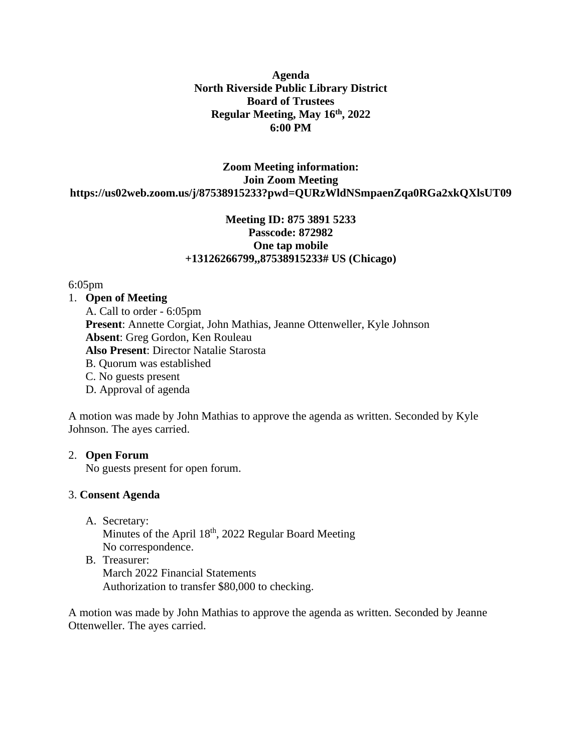**Agenda North Riverside Public Library District Board of Trustees Regular Meeting, May 16 th, 2022 6:00 PM**

**Zoom Meeting information: Join Zoom Meeting https://us02web.zoom.us/j/87538915233?pwd=QURzWldNSmpaenZqa0RGa2xkQXlsUT09**

# **Meeting ID: 875 3891 5233 Passcode: 872982 One tap mobile +13126266799,,87538915233# US (Chicago)**

### 6:05pm

1. **Open of Meeting**

 A. Call to order - 6:05pm **Present**: Annette Corgiat, John Mathias, Jeanne Ottenweller, Kyle Johnson **Absent**: Greg Gordon, Ken Rouleau **Also Present**: Director Natalie Starosta B. Quorum was established C. No guests present D. Approval of agenda

A motion was made by John Mathias to approve the agenda as written. Seconded by Kyle Johnson. The ayes carried.

### 2. **Open Forum**

No guests present for open forum.

### 3. **Consent Agenda**

- A. Secretary: Minutes of the April 18<sup>th</sup>, 2022 Regular Board Meeting No correspondence.
- B. Treasurer: March 2022 Financial Statements Authorization to transfer \$80,000 to checking.

A motion was made by John Mathias to approve the agenda as written. Seconded by Jeanne Ottenweller. The ayes carried.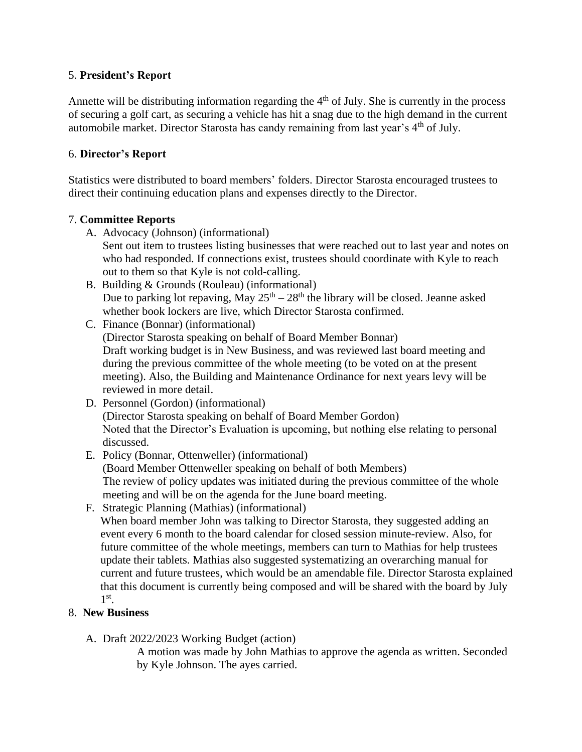## 5. **President's Report**

Annette will be distributing information regarding the  $4<sup>th</sup>$  of July. She is currently in the process of securing a golf cart, as securing a vehicle has hit a snag due to the high demand in the current automobile market. Director Starosta has candy remaining from last year's 4<sup>th</sup> of July.

# 6. **Director's Report**

Statistics were distributed to board members' folders. Director Starosta encouraged trustees to direct their continuing education plans and expenses directly to the Director.

# 7. **Committee Reports**

A. Advocacy (Johnson) (informational)

Sent out item to trustees listing businesses that were reached out to last year and notes on who had responded. If connections exist, trustees should coordinate with Kyle to reach out to them so that Kyle is not cold-calling.

- B. Building & Grounds (Rouleau) (informational) Due to parking lot repaving, May  $25<sup>th</sup> - 28<sup>th</sup>$  the library will be closed. Jeanne asked whether book lockers are live, which Director Starosta confirmed.
- C. Finance (Bonnar) (informational) (Director Starosta speaking on behalf of Board Member Bonnar) Draft working budget is in New Business, and was reviewed last board meeting and during the previous committee of the whole meeting (to be voted on at the present meeting). Also, the Building and Maintenance Ordinance for next years levy will be reviewed in more detail.
- D. Personnel (Gordon) (informational) (Director Starosta speaking on behalf of Board Member Gordon) Noted that the Director's Evaluation is upcoming, but nothing else relating to personal discussed.
- E. Policy (Bonnar, Ottenweller) (informational) (Board Member Ottenweller speaking on behalf of both Members) The review of policy updates was initiated during the previous committee of the whole meeting and will be on the agenda for the June board meeting.
- F. Strategic Planning (Mathias) (informational)

When board member John was talking to Director Starosta, they suggested adding an event every 6 month to the board calendar for closed session minute-review. Also, for future committee of the whole meetings, members can turn to Mathias for help trustees update their tablets. Mathias also suggested systematizing an overarching manual for current and future trustees, which would be an amendable file. Director Starosta explained that this document is currently being composed and will be shared with the board by July 1 st .

## 8. **New Business**

A. Draft 2022/2023 Working Budget (action)

A motion was made by John Mathias to approve the agenda as written. Seconded by Kyle Johnson. The ayes carried.